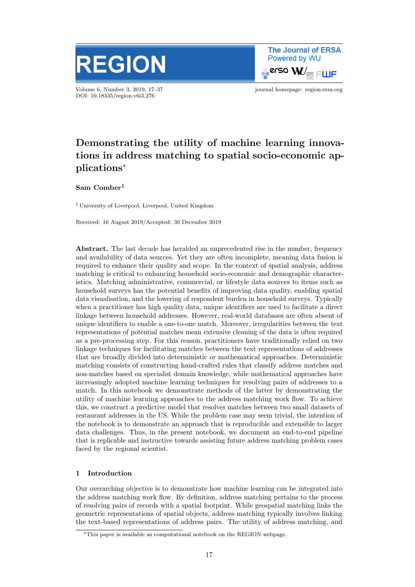

Volume 6, Number 3, 2019, 17–37 journal homepage: region.ersa.org DOI: 10.18335/region.v6i3.276

**The Journal of ERSA** Powered by WU  $\bullet$ erso W $\equiv$  FWF

# Demonstrating the utility of machine learning innovations in address matching to spatial socio-economic applications<sup>∗</sup>

Sam Comber<sup>1</sup>

<sup>1</sup> University of Liverpool, Liverpool, United Kingdom

Received: 16 August 2019/Accepted: 30 December 2019

Abstract. The last decade has heralded an unprecedented rise in the number, frequency and availability of data sources. Yet they are often incomplete, meaning data fusion is required to enhance their quality and scope. In the context of spatial analysis, address matching is critical to enhancing household socio-economic and demographic characteristics. Matching administrative, commercial, or lifestyle data sources to items such as household surveys has the potential benefits of improving data quality, enabling spatial data visualisation, and the lowering of respondent burden in household surveys. Typically when a practitioner has high quality data, unique identifiers are used to facilitate a direct linkage between household addresses. However, real-world databases are often absent of unique identifiers to enable a one-to-one match. Moreover, irregularities between the text representations of potential matches mean extensive cleaning of the data is often required as a pre-processing step. For this reason, practitioners have traditionally relied on two linkage techniques for facilitating matches between the text representations of addresses that are broadly divided into deterministic or mathematical approaches. Deterministic matching consists of constructing hand-crafted rules that classify address matches and non-matches based on specialist domain knowledge, while mathematical approaches have increasingly adopted machine learning techniques for resolving pairs of addresses to a match. In this notebook we demonstrate methods of the latter by demonstrating the utility of machine learning approaches to the address matching work flow. To achieve this, we construct a predictive model that resolves matches between two small datasets of restaurant addresses in the US. While the problem case may seem trivial, the intention of the notebook is to demonstrate an approach that is reproducible and extensible to larger data challenges. Thus, in the present notebook, we document an end-to-end pipeline that is replicable and instructive towards assisting future address matching problem cases faced by the regional scientist.

# 1 Introduction

Our overarching objective is to demonstrate how machine learning can be integrated into the address matching work flow. By definition, address matching pertains to the process of resolving pairs of records with a spatial footprint. While geospatial matching links the geometric representations of spatial objects, address matching typically involves linking the text-based representations of address pairs. The utility of address matching, and

<sup>∗</sup>This paper is available as computational notebook on the REGION webpage.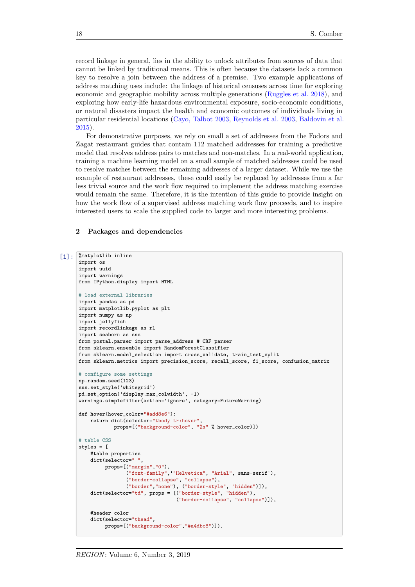record linkage in general, lies in the ability to unlock attributes from sources of data that cannot be linked by traditional means. This is often because the datasets lack a common key to resolve a join between the address of a premise. Two example applications of address matching uses include: the linkage of historical censuses across time for exploring economic and geographic mobility across multiple generations [\(Ruggles et al.](#page-20-0) [2018\)](#page-20-0), and exploring how early-life hazardous environmental exposure, socio-economic conditions, or natural disasters impact the health and economic outcomes of individuals living in particular residential locations [\(Cayo, Talbot](#page-20-1) [2003,](#page-20-1) [Reynolds et al.](#page-20-2) [2003,](#page-20-2) [Baldovin et al.](#page-20-3) [2015\)](#page-20-3).

For demonstrative purposes, we rely on small a set of addresses from the Fodors and Zagat restaurant guides that contain 112 matched addresses for training a predictive model that resolves address pairs to matches and non-matches. In a real-world application, training a machine learning model on a small sample of matched addresses could be used to resolve matches between the remaining addresses of a larger dataset. While we use the example of restaurant addresses, these could easily be replaced by addresses from a far less trivial source and the work flow required to implement the address matching exercise would remain the same. Therefore, it is the intention of this guide to provide insight on how the work flow of a supervised address matching work flow proceeds, and to inspire interested users to scale the supplied code to larger and more interesting problems.

#### 2 Packages and dependencies

```
[1]: \matplotlib inline
      import os
      import uuid
      import warnings
      from IPython.display import HTML
      # load external libraries
      import pandas as pd
      import matplotlib.pyplot as plt
      import numpy as np
      import jellyfish
      import recordlinkage as rl
      import seaborn as sns
      from postal.parser import parse_address # CRF parser
      from sklearn.ensemble import RandomForestClassifier
      from sklearn.model_selection import cross_validate, train_test_split
      from sklearn.metrics import precision_score, recall_score, f1_score, confusion_matrix
      # configure some settings
      np.random.seed(123)
      sns.set_style('whitegrid')
      pd.set_option('display.max_colwidth', -1)
      warnings.simplefilter(action='ignore', category=FutureWarning)
      def hover(hover_color="#add8e6"):
          return dict(selector="tbody tr:hover",
                  props=[("background-color", "%s" % hover_color)])
      # table CSS
      styles = [
          #table properties
          dict(selector=" ",
               props=[("margin", "0"),
                      ("font-family",'"Helvetica", "Arial", sans-serif'),
                      ("border-collapse", "collapse"),
                      ("border","none"), ("border-style", "hidden")]),
          dict(selector="td", props = [("border-style", "hidden"),
                                       ("border-collapse", "collapse")]),
          #header color
          dict(selector="thead",
               props=[("background-color","#a4dbc8")]),
```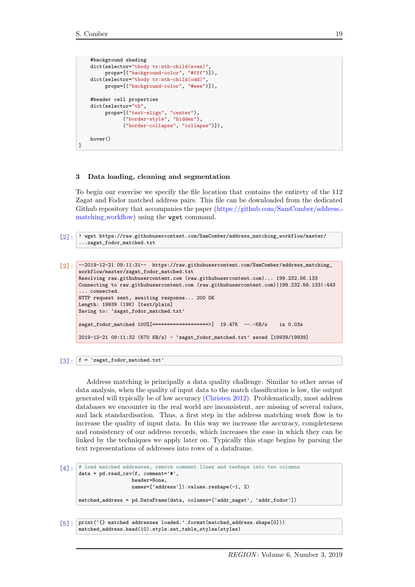]

```
#background shading
dict(selector="tbody tr:nth-child(even)"
    props=[("background-color", "#fff")]),
dict(selector="tbody tr:nth-child(odd)"
    props=[("background-color", "#eee")]),
#header cell properties
dict(selector="th",
     props=[("text-align", "center"),
           ("border-style", "hidden"),
           ("border-collapse", "collapse")]),
hover()
```
#### 3 Data loading, cleaning and segmentation

To begin our exercise we specify the file location that contains the entirety of the 112 Zagat and Fodor matched address pairs. This file can be downloaded from the dedicated Github repository that accompanies the paper [\(https://github.com/SamComber/address](https://github.com/SamComber/address_matching_workflow) [matching](https://github.com/SamComber/address_matching_workflow) workflow) using the wget command.

```
[2]: ! wget https://raw.githubusercontent.com/SamComber/address_matching_workflow/master/
      ...zagat_fodor_matched.txt
```

```
[2]: --2019-12-21 09:11:31-- https://raw.githubusercontent.com/SamComber/address_matching_
      workflow/master/zagat_fodor_matched.txt
      Resolving raw.githubusercontent.com (raw.githubusercontent.com)... 199.232.56.133
      Connecting to raw.githubusercontent.com (raw.githubusercontent.com)|199.232.56.133|:443
      ... connected.
      HTTP request sent, awaiting response... 200 OK
      Length: 19939 (19K) [text/plain]
      Saving to: 'zagat_fodor_matched.txt'
      zagat_fodor_matched 100%[===================>] 19.47K --.-KB/s in 0.03s
      2019-12-21 09:11:32 (670 KB/s) - 'zagat_fodor_matched.txt' saved [19939/19939]
```
 $\lceil 3 \rceil$ :  $\lceil f \rceil$  = 'zagat\_fodor\_matched.txt'

Address matching is principally a data quality challenge. Similar to other areas of data analysis, when the quality of input data to the match classification is low, the output generated will typically be of low accuracy [\(Christen](#page-20-4) [2012\)](#page-20-4). Problematically, most address databases we encounter in the real world are inconsistent, are missing of several values, and lack standardisation. Thus, a first step in the address matching work flow is to increase the quality of input data. In this way we increase the accuracy, completeness and consistency of our address records, which increases the ease in which they can be linked by the techniques we apply later on. Typically this stage begins by parsing the text representations of addresses into rows of a dataframe.

```
\lceil 4 \rceil: # load matched addresses, remove comment lines and reshape into two columns
      data = pd.read_csv(f, comment='#',header=None,
                         names=['address']).values.reshape(-1, 2)
      matched_address = pd.DataFrame(data, columns=['addr_zagat', 'addr_fodor'])
```

```
[5]: print('{} matched addresses loaded.'.format(matched_address.shape[0]))
      matched_address.head(10).style.set_table_styles(styles)
```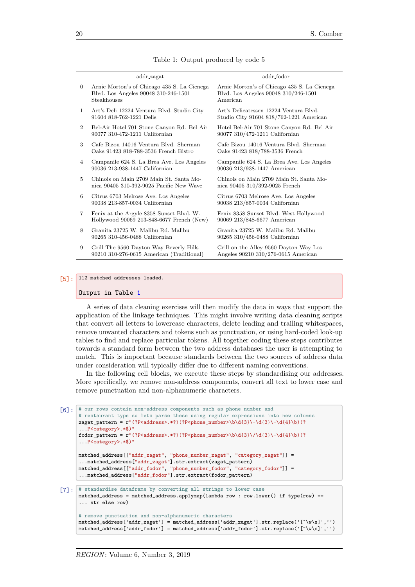<span id="page-3-0"></span>

| Arnie Morton's of Chicago 435 S. La Cienega<br>Arnie Morton's of Chicago 435 S. La Cienega<br>$\overline{0}$<br>Blvd. Los Angeles 90048 310-246-1501<br>Blvd. Los Angeles 90048 310/246-1501<br>Steakhouses<br>American<br>Art's Deli 12224 Ventura Blvd. Studio City<br>Art's Delicatessen 12224 Ventura Blyd.<br>$\mathbf{1}$<br>91604 818-762-1221 Delis<br>Studio City 91604 818/762-1221 American |  |
|--------------------------------------------------------------------------------------------------------------------------------------------------------------------------------------------------------------------------------------------------------------------------------------------------------------------------------------------------------------------------------------------------------|--|
|                                                                                                                                                                                                                                                                                                                                                                                                        |  |
|                                                                                                                                                                                                                                                                                                                                                                                                        |  |
| Bel-Air Hotel 701 Stone Canyon Rd. Bel Air<br>Hotel Bel-Air 701 Stone Canyon Rd. Bel Air<br>$\overline{2}$<br>90077 310-472-1211 Californian<br>90077 310/472-1211 Californian                                                                                                                                                                                                                         |  |
| Cafe Bizou 14016 Ventura Blvd. Sherman<br>3<br>Cafe Bizou 14016 Ventura Blvd. Sherman<br>Oaks 91423 818-788-3536 French Bistro<br>Oaks 91423 818/788-3536 French                                                                                                                                                                                                                                       |  |
| Campanile 624 S. La Brea Ave. Los Angeles<br>Campanile 624 S. La Brea Ave. Los Angeles<br>4<br>90036 213-938-1447 Californian<br>90036 213/938-1447 American                                                                                                                                                                                                                                           |  |
| Chinois on Main 2709 Main St. Santa Mo-<br>Chinois on Main 2709 Main St. Santa Mo-<br>5<br>nica 90405 310-392-9025 Pacific New Wave<br>nica 90405 310/392-9025 French                                                                                                                                                                                                                                  |  |
| Citrus 6703 Melrose Ave. Los Angeles<br>Citrus 6703 Melrose Ave. Los Angeles<br>6<br>90038 213-857-0034 Californian<br>90038 213/857-0034 Californian                                                                                                                                                                                                                                                  |  |
| Fenix 8358 Sunset Blvd. West Hollywood<br>$\overline{7}$<br>Fenix at the Argyle 8358 Sunset Blvd. W.<br>Hollywood 90069 213-848-6677 French (New)<br>90069 213/848-6677 American                                                                                                                                                                                                                       |  |
| Granita 23725 W. Malibu Rd. Malibu<br>Granita 23725 W. Malibu Rd. Malibu<br>8<br>90265 310-456-0488 Californian<br>90265 310/456-0488 Californian                                                                                                                                                                                                                                                      |  |
| Grill The 9560 Dayton Way Beverly Hills<br>Grill on the Alley 9560 Dayton Way Los<br>9<br>90210 310-276-0615 American (Traditional)<br>Angeles 90210 310/276-0615 American                                                                                                                                                                                                                             |  |

Table 1: Output produced by code 5

## [5]: 112 matched addresses loaded.

#### Output in Table [1](#page-3-0)

A series of data cleaning exercises will then modify the data in ways that support the application of the linkage techniques. This might involve writing data cleaning scripts that convert all letters to lowercase characters, delete leading and trailing whitespaces, remove unwanted characters and tokens such as punctuation, or using hard-coded look-up tables to find and replace particular tokens. All together coding these steps contributes towards a standard form between the two address databases the user is attempting to match. This is important because standards between the two sources of address data under consideration will typically differ due to different naming conventions.

In the following cell blocks, we execute these steps by standardising our addresses. More specifically, we remove non-address components, convert all text to lower case and remove punctuation and non-alphanumeric characters.

```
[6]: # our rows contain non-address components such as phone number and
      # restaurant type so lets parse these using regular expressions into new columns
      zagat_pattern = r"(?P<address>.*?)(?P<phone_number>\b\d{3}\-\d{3}\-\d{4}\b)(?
      ...P<category>.*$)"
      fodor_pattern = r''(?P<address>.*?)(?P<phone_number>\b\d{3}\/\d{3}\-\d{4}\b)(?
      ...P<category>.*$)"
      matched_address[["addr_zagat", "phone_number_zagat", "category_zagat"]] =
      ...matched_address["addr_zagat"].str.extract(zagat_pattern)
      matched_address[["addr_fodor", "phone_number_fodor", "category_fodor"]] =
      ...matched_address["addr_fodor"].str.extract(fodor_pattern)
[7]: \# standardise dataframe by converting all strings to lower case
      matched_address = matched_address.applymap(lambda row : row.lower() if type(row) ==
      ... str else row)
      # remove punctuation and non-alphanumeric characters
      matched_address['addr_zagat'] = matched_address['addr_zagat'].str.replace('[^\w\s]','')
```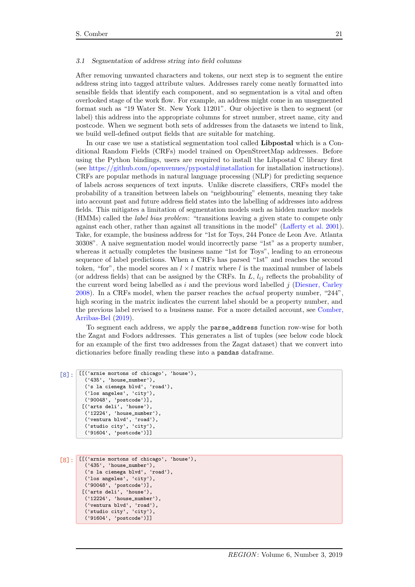#### 3.1 Segmentation of address string into field columns

After removing unwanted characters and tokens, our next step is to segment the entire address string into tagged attribute values. Addresses rarely come neatly formatted into sensible fields that identify each component, and so segmentation is a vital and often overlooked stage of the work flow. For example, an address might come in an unsegmented format such as "19 Water St. New York 11201". Our objective is then to segment (or label) this address into the appropriate columns for street number, street name, city and postcode. When we segment both sets of addresses from the datasets we intend to link, we build well-defined output fields that are suitable for matching.

In our case we use a statistical segmentation tool called Libpostal which is a Conditional Random Fields (CRFs) model trained on OpenStreetMap addresses. Before using the Python bindings, users are required to install the Libpostal C library first (see <https://github.com/openvenues/pypostal#installation> for installation instructions). CRFs are popular methods in natural language processing (NLP) for predicting sequence of labels across sequences of text inputs. Unlike discrete classifiers, CRFs model the probability of a transition between labels on "neighbouring" elements, meaning they take into account past and future address field states into the labelling of addresses into address fields. This mitigates a limitation of segmentation models such as hidden markov models (HMMs) called the label bias problem: "transitions leaving a given state to compete only against each other, rather than against all transitions in the model" [\(Lafferty et al.](#page-20-5) [2001\)](#page-20-5). Take, for example, the business address for "1st for Toys, 244 Ponce de Leon Ave. Atlanta 30308". A naive segmentation model would incorrectly parse "1st" as a property number, whereas it actually completes the business name "1st for Toys", leading to an erroneous sequence of label predictions. When a CRFs has parsed "1st" and reaches the second token, "for", the model scores an  $l \times l$  matrix where l is the maximal number of labels (or address fields) that can be assigned by the CRFs. In  $L$ ,  $l_{ij}$  reflects the probability of the current word being labelled as  $i$  and the previous word labelled  $j$  [\(Diesner, Carley](#page-20-6) [2008\)](#page-20-6). In a CRFs model, when the parser reaches the *actual* property number, "244" high scoring in the matrix indicates the current label should be a property number, and the previous label revised to a business name. For a more detailed account, see [Comber,](#page-20-7) [Arribas-Bel](#page-20-7) [\(2019\)](#page-20-7).

To segment each address, we apply the parse\_address function row-wise for both the Zagat and Fodors addresses. This generates a list of tuples (see below code block for an example of the first two addresses from the Zagat dataset) that we convert into dictionaries before finally reading these into a pandas dataframe.

```
[8]: II('arnie mortons of chicago', 'house'),
        ('435', 'house_number'),
        ('s la cienega blvd', 'road'),
        ('los angeles', 'city'),
        ('90048', 'postcode')],
       [('arts deli', 'house'),
        ('12224', 'house_number'),
        ('ventura blvd', 'road'),
        ('studio city', 'city'),
        ('91604', 'postcode')]]
```

```
[8]: III'arnie mortons of chicago', 'house'),
        ('435', 'house_number'),
        ('s la cienega blvd', 'road'),
        ('los angeles', 'city'),
        ('90048', 'postcode')],
       [('arts deli', 'house'),
        ('12224', 'house_number'),
        ('ventura blvd', 'road'),
        ('studio city', 'city'),
        ('91604', 'postcode')]]
```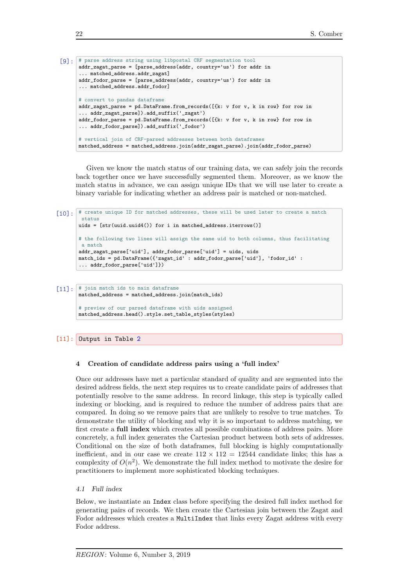```
[9]: # parse address string using libpostal CRF segmentation tool
      addr_zagat_parse = [parse_address(addr, country='us') for addr in
      ... matched_address.addr_zagat]
      addr_fodor_parse = [parse_address(addr, country='us') for addr in
      ... matched address.addr fodor]
      # convert to pandas dataframe
      addr_zagat_parse = pd.DataFrame.from_records([{k: v for v, k in row} for row in
      ... addr_zagat_parse]).add_suffix('_zagat')
      addr_fodor_parse = pd.DataFrame.from_records([{k: v for v, k in row} for row in
      ... addr_fodor_parse]).add_suffix('_fodor')
      # vertical join of CRF-parsed addresses between both dataframes
      matched_address = matched_address.join(addr_zagat_parse).join(addr_fodor_parse)
```
Given we know the match status of our training data, we can safely join the records back together once we have successfully segmented them. Moreover, as we know the match status in advance, we can assign unique IDs that we will use later to create a binary variable for indicating whether an address pair is matched or non-matched.

```
[10]: # create unique ID for matched addresses, these will be used later to create a match
        status
       uids = [str(uuid.uuid4()) for i in matched_address.iterrows()]
       # the following two lines will assign the same uid to both columns, thus facilitating
        a match
       addr_zagat_parse['uid'], addr_fodor_parse['uid'] = uids, uids
       match_ids = pd.DataFrame({'zagat_id' : addr_fodor_parse['uid'], 'fodor_id' :
        ... addr_fodor_parse['uid']})
```

```
[11]: * join match ids to main dataframe
       matched_address = matched_address.join(match_ids)
       # preview of our parsed dataframe with uids assigned
       matched_address.head().style.set_table_styles(styles)
```
# [11]: Output in Table [2](#page-6-0)

#### 4 Creation of candidate address pairs using a 'full index'

Once our addresses have met a particular standard of quality and are segmented into the desired address fields, the next step requires us to create candidate pairs of addresses that potentially resolve to the same address. In record linkage, this step is typically called indexing or blocking, and is required to reduce the number of address pairs that are compared. In doing so we remove pairs that are unlikely to resolve to true matches. To demonstrate the utility of blocking and why it is so important to address matching, we first create a full index which creates all possible combinations of address pairs. More concretely, a full index generates the Cartesian product between both sets of addresses. Conditional on the size of both dataframes, full blocking is highly computationally inefficient, and in our case we create  $112 \times 112 = 12544$  candidate links; this has a complexity of  $O(n^2)$ . We demonstrate the full index method to motivate the desire for practitioners to implement more sophisticated blocking techniques.

## 4.1 Full index

Below, we instantiate an Index class before specifying the desired full index method for generating pairs of records. We then create the Cartesian join between the Zagat and Fodor addresses which creates a MultiIndex that links every Zagat address with every Fodor address.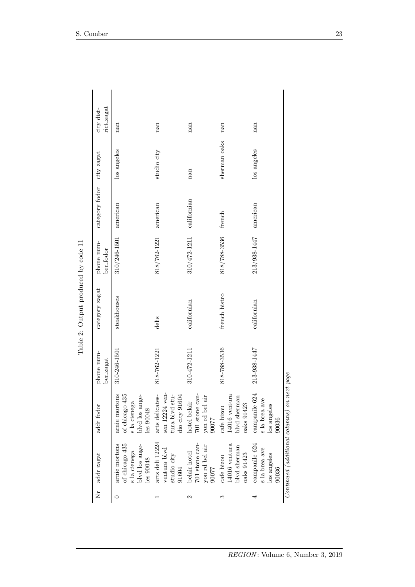<span id="page-6-0"></span>

| rict_zagat<br>city_dist-  | nan                                                                            | nan                                                                                 | nan                                                       | nan                                                         | nan                                                    |                                             |
|---------------------------|--------------------------------------------------------------------------------|-------------------------------------------------------------------------------------|-----------------------------------------------------------|-------------------------------------------------------------|--------------------------------------------------------|---------------------------------------------|
|                           | los angeles                                                                    | studio city                                                                         | nan                                                       | sherman oaks                                                | los angeles                                            |                                             |
| category_fodor city_zagat | american                                                                       | american                                                                            | californian                                               | french                                                      | american                                               |                                             |
| phone_num-<br>ber_fodor   | 310/246-1501                                                                   | 818/762-1221                                                                        | 310/472-1211                                              | 818/788-3536                                                | 213/938-1447                                           |                                             |
| category_zagat            | steakhouses                                                                    | delis                                                                               | californian                                               | french bistro                                               | californian                                            |                                             |
| phone_num-<br>ber_zagat   | 310-246-1501                                                                   | 818-762-1221                                                                        | 310-472-1211                                              | 818-788-3536                                                | 213-938-1447                                           |                                             |
| addr_fodor                | of chicago 435<br>arnie mortons<br>blvd los ange-<br>s la cienega<br>les 90048 | sen 12224 ven-<br>arts delicates-<br>$\tt{t}$ ura blvd $\tt{stu}$<br>dio city 91604 | 701 stone can-<br>yon rd bel air<br>hotel belair<br>77006 | $14016$ ventura<br>blvd sherman<br>cafe bizou<br>oaks 91423 | campanile 624<br>s la brea ave<br>los angeles<br>90036 | Continued (additional columns) on next page |
| Nr addr_zagat             | of chicago 435<br>arnie mortons<br>s la cienega<br>blvd los ange-<br>les 90048 | arts deli 12224<br>ventura blvd<br>${\rm studio}$ city<br>91604                     | 701 stone can-<br>yon rd bel air<br>belair hotel<br>90077 | cafe bizou $14016$ ventura<br>blvd sherman<br>oaks 91423    | campanile 624<br>s la brea ave<br>los angeles<br>90036 |                                             |
|                           |                                                                                |                                                                                     | 2                                                         | S                                                           | 4                                                      |                                             |

Table 2: Output produced by code  $11\,$ Table 2: Output produced by code 11

REGION: Volume 6, Number 3, 2019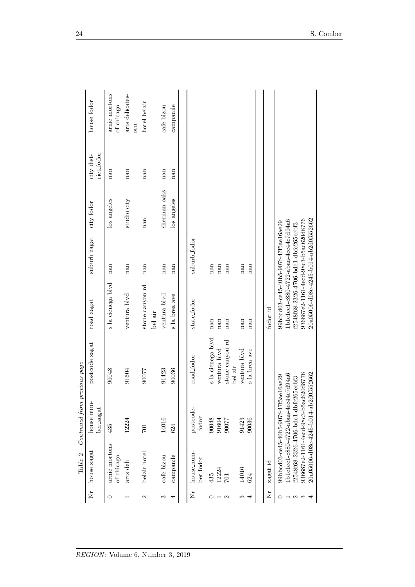|         | Table $2-$                  | Continued from                                                                                                                                                                                       | previous page              |                                                                                                                                                                                                      |              |              |                          |                             |
|---------|-----------------------------|------------------------------------------------------------------------------------------------------------------------------------------------------------------------------------------------------|----------------------------|------------------------------------------------------------------------------------------------------------------------------------------------------------------------------------------------------|--------------|--------------|--------------------------|-----------------------------|
| ž       | house_zagat                 | house_num-<br>ber_zagat                                                                                                                                                                              | postcode_zagat             | road_zagat                                                                                                                                                                                           | suburb_zagat | city_fodor   | rict_fodor<br>city_dist- | house_fodor                 |
| $\circ$ | arnie mortons<br>of chicago | 435                                                                                                                                                                                                  | 90048                      | s la cienega blvd                                                                                                                                                                                    | nan          | los angeles  | nan                      | arnie mortons<br>of chicago |
|         | arts deli                   | 12224                                                                                                                                                                                                | 91604                      | ventura blvd                                                                                                                                                                                         | nan          | studio city  | nan                      | arts delicates-<br>sen      |
| N       | belair hotel                | $701\,$                                                                                                                                                                                              | 90077                      | stone canyon rd<br>bel air                                                                                                                                                                           | nan          | nan          | nan                      | hotel belair                |
| S       | cafe bizou                  | 14016                                                                                                                                                                                                | 91423                      | ventura blvd                                                                                                                                                                                         | nan          | sherman oaks | nan                      | cafe bizou                  |
| 4       | campanile                   | 624                                                                                                                                                                                                  | 90036                      | s la brea ave                                                                                                                                                                                        | nan          | los angeles  | nan                      | campanile                   |
|         |                             |                                                                                                                                                                                                      |                            |                                                                                                                                                                                                      |              |              |                          |                             |
| Ż       | house_num-<br>ber_fodor     | postcode-<br>fodor                                                                                                                                                                                   | road_fodor                 | state_fodor                                                                                                                                                                                          | suburb_fodor |              |                          |                             |
|         | 435                         | 90048                                                                                                                                                                                                | s la cienega blvd          | nan                                                                                                                                                                                                  | nan          |              |                          |                             |
|         | 12224                       | 91604                                                                                                                                                                                                | ventura blvd               | nan                                                                                                                                                                                                  | nan          |              |                          |                             |
| 2       | <b>IO2</b>                  | 77006                                                                                                                                                                                                | stone canyon rd<br>bel air | nan                                                                                                                                                                                                  | nan          |              |                          |                             |
| S       | 14016                       | 91423                                                                                                                                                                                                | ventura blvd               | nan                                                                                                                                                                                                  | nan          |              |                          |                             |
| 4       | 624                         | 90036                                                                                                                                                                                                | s la brea ave              | nan                                                                                                                                                                                                  | nan          |              |                          |                             |
|         |                             |                                                                                                                                                                                                      |                            |                                                                                                                                                                                                      |              |              |                          |                             |
| Ż       | zagat_id                    |                                                                                                                                                                                                      |                            | fodor_id                                                                                                                                                                                             |              |              |                          |                             |
| N       |                             | 936687e2-1161-4ecd-98c3-b5ac620d8776<br>20a05006-d08e-4245-b014-ab2d0f552662<br>1b1e1ee1-c880-4722-abaa-4ec44c7d94a6<br>99bbcd03-ce45-40b5-907f-47f5ae16ae29<br>f2548f68-2326-4706-bdc1-dbfc265ecbf3 |                            | 20a05006-d08e-4245-b014-ab2d0f552662<br>936687e2-1161-4ecd-98c3-b5ac620d8776<br>1b1e1ee1-c880-4722-abaa-4ec44c7d94a6<br>99bbcd03-ce45-40b5-907f-47f5ae16ae29<br>f2548f68-2326-4706-bdc1-dbfc265ecbf3 |              |              |                          |                             |
|         |                             |                                                                                                                                                                                                      |                            |                                                                                                                                                                                                      |              |              |                          |                             |

REGION: Volume 6, Number 3, 2019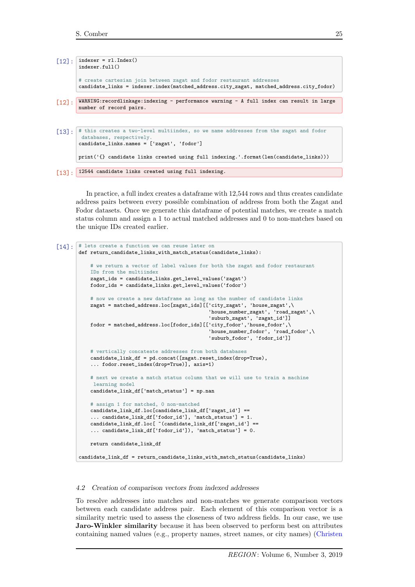```
[12]: indexer = rl.Index()
       indexer.full()
       # create cartesian join between zagat and fodor restaurant addresses
       candidate_links = indexer.index(matched_address.city_zagat, matched_address.city_fodor)
[12]: WARNING:recordlinkage:indexing - performance warning - A full index can result in large
       number of record pairs.
[13]: # this creates a two-level multiindex, so we name addresses from the zagat and fodor
        databases, respectively.
       candidate links \cdot names = [ 'zapat' , 'footor']print('{} candidate links created using full indexing.'.format(len(candidate_links)))
```
[13]: 12544 candidate links created using full indexing.

In practice, a full index creates a dataframe with 12,544 rows and thus creates candidate address pairs between every possible combination of address from both the Zagat and Fodor datasets. Once we generate this dataframe of potential matches, we create a match status column and assign a 1 to actual matched addresses and 0 to non-matches based on the unique IDs created earlier.

```
[14]: # lets create a function we can reuse later on
       def return_candidate_links_with_match_status(candidate_links):
            # we return a vector of label values for both the zagat and fodor restaurant
           IDs from the multiindex
           zagat_ids = candidate_links.get_level_values('zagat')
           fodor_ids = candidate_links.get_level_values('fodor')
           # now we create a new dataframe as long as the number of candidate links
           zagat = matched_address.loc[zagat_ids][['city_zagat', 'house_zagat',\
                                                    'house_number_zagat', 'road_zagat',\
                                                    'suburb_zagat', 'zagat_id']]
           fodor = matched_address.loc[fodor_ids][['city_fodor','house_fodor',\
                                                    'house_number_fodor', 'road_fodor',\
                                                    'suburb_fodor', 'fodor_id']]
           # vertically concateate addresses from both databases
           candidate_link_df = pd.concat([zagat.reset_index(drop=True),
            ... fodor.reset_index(drop=True)], axis=1)
           # next we create a match status column that we will use to train a machine
            learning model
           candidate_link_df['match_status'] = np.nan
           # assign 1 for matched, 0 non-matched
           candidate_link_df.loc[candidate_link_df['zagat_id'] ==
            ... candidate_link_df['fodor_id'], 'match_status'] = 1.
           candidate_link_df.loc[ ~(candidate_link_df['zagat_id'] ==
            ... candidate_link_df['fodor_id']), 'match_status'] = 0.
           return candidate_link_df
       candidate_link_df = return_candidate_links_with_match_status(candidate_links)
```
#### 4.2 Creation of comparison vectors from indexed addresses

To resolve addresses into matches and non-matches we generate comparison vectors between each candidate address pair. Each element of this comparison vector is a similarity metric used to assess the closeness of two address fields. In our case, we use Jaro-Winkler similarity because it has been observed to perform best on attributes containing named values (e.g., property names, street names, or city names) [\(Christen](#page-20-4)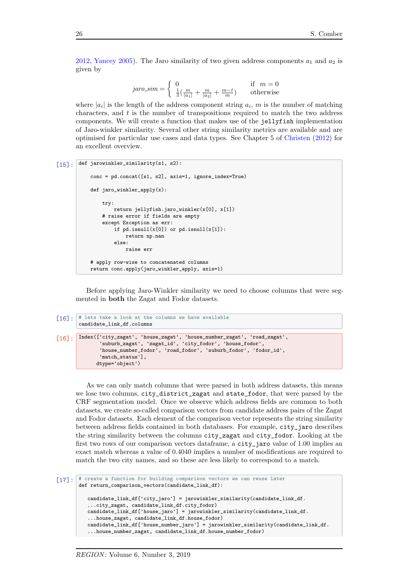[2012,](#page-20-4) [Yancey](#page-20-8) [2005\)](#page-20-8). The Jaro similarity of two given address components  $a_1$  and  $a_2$  is given by

jaro sim = 0 if m = 0 1 3 ( m <sup>|</sup>a1<sup>|</sup> + m <sup>|</sup>a2<sup>|</sup> + m−t <sup>m</sup> ) otherwise

where  $|a_i|$  is the length of the address component string  $a_i$ , m is the number of matching characters, and t is the number of transpositions required to match the two address components. We will create a function that makes use of the jellyfish implementation of Jaro-winkler similarity. Several other string similarity metrics are available and are optimised for particular use cases and data types. See Chapter 5 of [Christen](#page-20-4) [\(2012\)](#page-20-4) for an excellent overview.

```
[15]: def jarowinkler_similarity(s1, s2):
```

```
conc = pd.concat([s1, s2], axis=1, ignore_index=True)
def jaro_winkler_apply(x):
    try:
       return jellyfish.jaro_winkler(x[0], x[1])
    # raise error if fields are empty
    except Exception as err:
        if pd.isnull(x[0]) or pd.isnull(x[1]):return np.nan
        else:
            raise err
# apply row-wise to concatenated columns
return conc.apply(jaro_winkler_apply, axis=1)
```
Before applying Jaro-Winkler similarity we need to choose columns that were segmented in both the Zagat and Fodor datasets.

```
[16]: # lets take a look at the columns we have available
         candidate_link_df.columns
[16]: Index(['city_zagat', 'house_zagat', 'house_number_zagat', 'road_zagat',
'suburb_zagat', 'zagat_id', 'city_fodor', 'house_fodor',
                  'house_number_fodor', 'road_fodor', 'suburb_fodor', 'fodor_id',
                  'match_status'].
                dtype='object')
```
As we can only match columns that were parsed in both address datasets, this means we lose two columns, city district zagat and state fodor, that were parsed by the CRF segmentation model. Once we observe which address fields are common to both datasets, we create so-called comparison vectors from candidate address pairs of the Zagat and Fodor datasets. Each element of the comparison vector represents the string similarity between address fields contained in both databases. For example, city\_jaro describes the string similarity between the columns city\_zagat and city\_fodor. Looking at the first two rows of our comparison vectors dataframe, a city\_jaro value of 1.00 implies an exact match whereas a value of 0.4040 implies a number of modifications are required to match the two city names, and so these are less likely to correspond to a match.

```
[17]: # create a function for building comparison vectors we can reuse later
       def return_comparison_vectors(candidate_link_df):
          candidate_link_df['city_jaro'] = jarowinkler_similarity(candidate_link_df.
           ...city_zagat, candidate_link_df.city_fodor)
          candidate_link_df['house_jaro'] = jarowinkler_similarity(candidate_link_df.
           ...house_zagat, candidate_link_df.house_fodor)
          candidate_link_df['house_number_jaro'] = jarowinkler_similarity(candidate_link_df.
           ...house_number_zagat, candidate_link_df.house_number_fodor)
```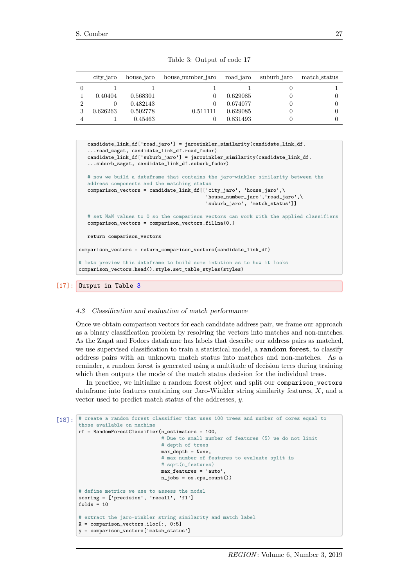| Table 3: Output of code 17 |  |  |  |
|----------------------------|--|--|--|
|----------------------------|--|--|--|

<span id="page-10-0"></span>

|   | city_jaro | house_jaro | house_number_jaro | road_jaro | suburb_jaro | match_status |
|---|-----------|------------|-------------------|-----------|-------------|--------------|
|   |           |            |                   |           |             |              |
|   | 0.40404   | 0.568301   |                   | 0.629085  |             |              |
|   |           | 0.482143   |                   | 0.674077  |             |              |
| 3 | 0.626263  | 0.502778   | 0.511111          | 0.629085  |             |              |
|   |           | 0.45463    |                   | 0.831493  |             |              |

```
candidate_link_df['road_jaro'] = jarowinkler_similarity(candidate_link_df.
   ...road_zagat, candidate_link_df.road_fodor)
   candidate_link_df['suburb_jaro'] = jarowinkler_similarity(candidate_link_df.
   ...suburb_zagat, candidate_link_df.suburb_fodor)
   # now we build a dataframe that contains the jaro-winkler similarity between the
   address components and the matching status
   comparison_vectors = candidate_link_df[['city_jaro', 'house_jaro',\
                                           'house_number_jaro','road_jaro',\
                                           'suburb_jaro', 'match_status']]
   # set NaN values to 0 so the comparison vectors can work with the applied classifiers
   comparison\_vectors = comparison\_vectors.fillna(0.)return comparison_vectors
comparison_vectors = return_comparison_vectors(candidate_link_df)
# lets preview this dataframe to build some intution as to how it looks
comparison_vectors.head().style.set_table_styles(styles)
```
#### 4.3 Classification and evaluation of match performance

Once we obtain comparison vectors for each candidate address pair, we frame our approach as a binary classification problem by resolving the vectors into matches and non-matches. As the Zagat and Fodors dataframe has labels that describe our address pairs as matched, we use supervised classification to train a statistical model, a random forest, to classify address pairs with an unknown match status into matches and non-matches. As a reminder, a random forest is generated using a multitude of decision trees during training which then outputs the mode of the match status decision for the individual trees.

In practice, we initialize a random forest object and split our comparison\_vectors dataframe into features containing our Jaro-Winkler string similarity features, X, and a vector used to predict match status of the addresses, y.

```
[18]: # create a random forest classifier that uses 100 trees and number of cores equal to
       those available on machine
       rf = RandomForestClassifier(n_estimators = 100,
                                    # Due to small number of features (5) we do not limit
                                    # depth of trees
                                   max_depth = None,
                                    # max number of features to evaluate split is
                                    # sart(n_features)
                                    max_features = 'auto',
                                   n_jobs = os.cpu_count())
       # define metrics we use to assess the model
       scoring = ['precision', 'recall', 'f1']
       folds = 10# extract the jaro-winkler string similarity and match label
       X = comparison\_vectors.iloc[:, 0:5]y = comparison_vectors['match_status']
```
<sup>[17]:</sup> Output in Table [3](#page-10-0)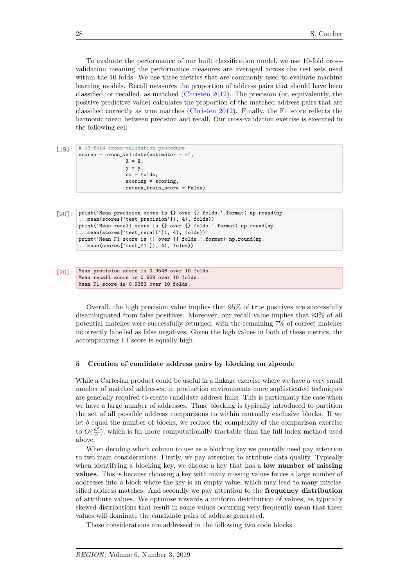To evaluate the performance of our built classification model, we use 10-fold crossvalidation meaning the performance measures are averaged across the test sets used within the 10 folds. We use three metrics that are commonly used to evaluate machine learning models. Recall measures the proportion of address pairs that should have been classified, or recalled, as matched [\(Christen](#page-20-4) [2012\)](#page-20-4). The precision (or, equivalently, the positive predictive value) calculates the proportion of the matched address pairs that are classified correctly as true matches [\(Christen](#page-20-4) [2012\)](#page-20-4). Finally, the F1 score reflects the harmonic mean between precision and recall. Our cross-validation exercise is executed in the following cell.

[19]: # 10-fold cross-validation procedure scores = cross\_validate(estimator = rf,  $X = X$  $y = y$ ,  $cv = folds,$ scoring = scoring, return\_train\_score = False)

```
[20]: print('Mean precision score is {} over {} folds.'.format( np.round(np.
        ...mean(scores['test_precision']), 4), folds))
       print('Mean recall score is {} over {} folds.'.format( np.round(np.
        ...mean(scores['test_recall']), 4), folds))
       print('Mean F1 score is {} over {} folds.'.format( np.round(np.
        ...mean(scores['test_f1']), 4), folds))
```

```
[20]: Mean precision score is 0.9546 over 10 folds.
       Mean recall score is 0.928 over 10 folds.
       Mean F1 score is 0.9383 over 10 folds.
```
Overall, the high precision value implies that 95% of true positives are successfully disambiguated from false positives. Moreover, our recall value implies that 93% of all potential matches were successfully returned, with the remaining 7% of correct matches incorrectly labelled as false negatives. Given the high values in both of these metrics, the accompanying F1 score is equally high.

#### 5 Creation of candidate address pairs by blocking on zipcode

While a Cartesian product could be useful in a linkage exercise where we have a very small number of matched addresses, in production environments more sophisticated techniques are generally required to create candidate address links. This is particularly the case when we have a large number of addresses. Thus, blocking is typically introduced to partition the set of all possible address comparisons to within mutually exclusive blocks. If we let b equal the number of blocks, we reduce the complexity of the comparison exercise to  $O(\frac{n^2}{h})$  $\frac{b^2}{b}$ , which is far more computationally tractable than the full index method used above.

When deciding which column to use as a blocking key we generally need pay attention to two main considerations. Firstly, we pay attention to attribute data quality. Typically when identifying a blocking key, we choose a key that has a **low number of missing** values. This is because choosing a key with many missing values forces a large number of addresses into a block where the key is an empty value, which may lead to many misclassified address matches. And secondly we pay attention to the frequency distribution of attribute values. We optimise towards a uniform distribution of values, as typically skewed distributions that result in some values occurring very frequently mean that these values will dominate the candidate pairs of address generated.

These considerations are addressed in the following two code blocks.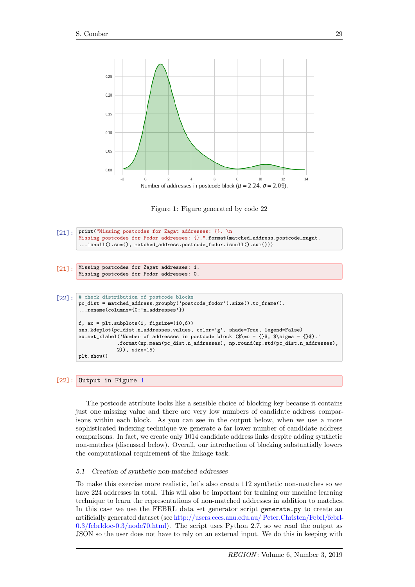<span id="page-12-0"></span>



```
[21]: print("Missing postcodes for Zagat addresses: {}. \n
       Missing postcodes for Fodor addresses: {}.".format(matched_address.postcode_zagat.
        ...isnull().sum(), matched_address.postcode_fodor.isnull().sum()))
[21]: Missing postcodes for Zagat addresses: 1.
       Missing postcodes for Fodor addresses: 0.
[22]: # check distribution of postcode blocks
       pc_dist = matched_address.groupby('postcode_fodor').size().to_frame().
        ...rename(columns={0:'n_addresses'})
       f, ax = plt.subplots(1, figsize=(10,6))sns.kdeplot(pc_dist.n_addresses.values, color='g', shade=True, legend=False)
       ax.set_xlabel('Number of addresses in postcode block ($\mu = {}$, $\sigma = {}$).'
                     .format(np.mean(pc_dist.n_addresses), np.round(np.std(pc_dist.n_addresses),
                    2)), size=15)
       plt.show()
```

```
[22]: Output in Figure 1
```
The postcode attribute looks like a sensible choice of blocking key because it contains just one missing value and there are very low numbers of candidate address comparisons within each block. As you can see in the output below, when we use a more sophisticated indexing technique we generate a far lower number of candidate address comparisons. In fact, we create only 1014 candidate address links despite adding synthetic non-matches (discussed below). Overall, our introduction of blocking substantially lowers the computational requirement of the linkage task.

# 5.1 Creation of synthetic non-matched addresses

To make this exercise more realistic, let's also create 112 synthetic non-matches so we have 224 addresses in total. This will also be important for training our machine learning technique to learn the representations of non-matched addresses in addition to matches. In this case we use the FEBRL data set generator script generate.py to create an artificially generated dataset (see [http://users.cecs.anu.edu.au/ Peter.Christen/Febrl/febrl-](http://users.cecs.anu.edu.au/~Peter.Christen/Febrl/febrl-0.3/febrldoc-0.3/node70.html)[0.3/febrldoc-0.3/node70.html\)](http://users.cecs.anu.edu.au/~Peter.Christen/Febrl/febrl-0.3/febrldoc-0.3/node70.html). The script uses Python 2.7, so we read the output as JSON so the user does not have to rely on an external input. We do this in keeping with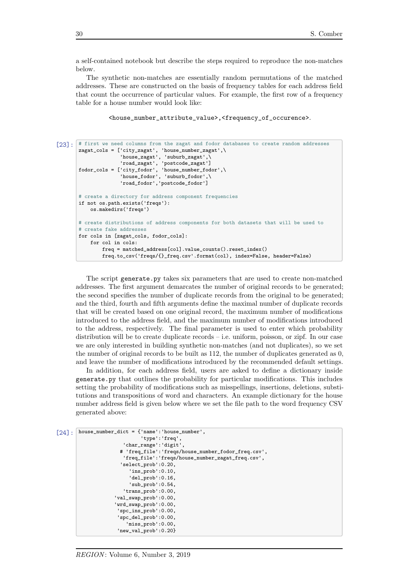a self-contained notebook but describe the steps required to reproduce the non-matches below.

The synthetic non-matches are essentially random permutations of the matched addresses. These are constructed on the basis of frequency tables for each address field that count the occurrence of particular values. For example, the first row of a frequency table for a house number would look like:

```
<house_number_attribute_value>,<frequency_of_occurence>.
```

```
[23]: # first we need columns from the zagat and fodor databases to create random addresses
       zagat_cols = ['city_zagat', 'house_number_zagat',\
                      'house_zagat', 'suburb_zagat',\
                      'road_zagat', 'postcode_zagat']
       fodor\_cols = ['city_fodor', 'house_number_fodor', \'house_fodor', 'suburb_fodor',\
                      'road_fodor','postcode_fodor']
       # create a directory for address component frequencies
       if not os.path.exists('freqs'):
           os.makedirs('freqs')
       # create distributions of address components for both datasets that will be used to
       # create fake addresses
       for cols in [zagat_cols, fodor_cols]:
           for col in cols:
               freq = matched_address[col].value_counts().reset_index()
               freq.to_csv('freqs/{}_freq.csv'.format(col), index=False, header=False)
```
The script generate.py takes six parameters that are used to create non-matched addresses. The first argument demarcates the number of original records to be generated; the second specifies the number of duplicate records from the original to be generated; and the third, fourth and fifth arguments define the maximal number of duplicate records that will be created based on one original record, the maximum number of modifications introduced to the address field, and the maximum number of modifications introduced to the address, respectively. The final parameter is used to enter which probability distribution will be to create duplicate records – i.e. uniform, poisson, or zipf. In our case we are only interested in building synthetic non-matches (and not duplicates), so we set the number of original records to be built as 112, the number of duplicates generated as 0, and leave the number of modifications introduced by the recommended default settings.

In addition, for each address field, users are asked to define a dictionary inside generate.py that outlines the probability for particular modifications. This includes setting the probability of modifications such as misspellings, insertions, deletions, substitutions and transpositions of word and characters. An example dictionary for the house number address field is given below where we set the file path to the word frequency CSV generated above:

```
\lceil 24 \rceil. house_number_dict = {'name':'house_number',
                               'type':'freq',
                        'char_range':'digit',
                       # 'freq_file':'freqs/house_number_fodor_freq.csv',
                        'freq_file':'freqs/house_number_zagat_freq.csv',
                       'select_prob':0.20,
                          'ins_prob':0.10,
                          'del_prob':0.16,
                          'sub_prob':0.54,
                        'trans_prob':0.00,
                     'val_swap_prob':0.00,
                     'wrd_swap_prob':0.00,
                      'spc_ins_prob':0.00,
                      'spc_del_prob':0.00,
                         'miss_prob':0.00,
                      'new_val_prob':0.20}
```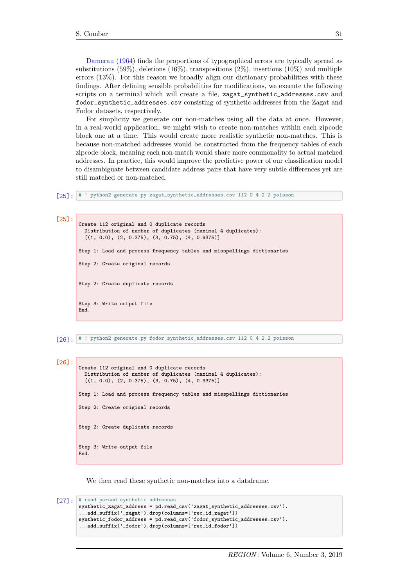[Damerau](#page-20-9) [\(1964\)](#page-20-9) finds the proportions of typographical errors are typically spread as substitutions (59%), deletions (16%), transpositions (2%), insertions (10%) and multiple errors (13%). For this reason we broadly align our dictionary probabilities with these findings. After defining sensible probabilities for modifications, we execute the following scripts on a terminal which will create a file, zagat\_synthetic\_addresses.csv and fodor\_synthetic\_addresses.csv consisting of synthetic addresses from the Zagat and Fodor datasets, respectively.

For simplicity we generate our non-matches using all the data at once. However, in a real-world application, we might wish to create non-matches within each zipcode block one at a time. This would create more realistic synthetic non-matches. This is because non-matched addresses would be constructed from the frequency tables of each zipcode block, meaning each non-match would share more commonality to actual matched addresses. In practice, this would improve the predictive power of our classification model to disambiguate between candidate address pairs that have very subtle differences yet are still matched or non-matched.

[25]: # ! python2 generate.py zagat\_synthetic\_addresses.csv 112 0 4 2 2 poisson

[25]:

```
Create 112 original and 0 duplicate records
  Distribution of number of duplicates (maximal 4 duplicates):
  [(1, 0.0), (2, 0.375), (3, 0.75), (4, 0.9375)]
Step 1: Load and process frequency tables and misspellings dictionaries
Step 2: Create original records
Step 2: Create duplicate records
Step 3: Write output file
End.
```
[26]: # ! python2 generate.py fodor\_synthetic\_addresses.csv 112 0 4 2 2 poisson

```
[26]:
       Create 112 original and 0 duplicate records
         Distribution of number of duplicates (maximal 4 duplicates):
         [(1, 0.0), (2, 0.375), (3, 0.75), (4, 0.9375)]
       Step 1: Load and process frequency tables and misspellings dictionaries
       Step 2: Create original records
       Step 2: Create duplicate records
       Step 3: Write output file
       End.
```
We then read these synthetic non-matches into a dataframe.

```
[27]: * read parsed synthetic addresses
       synthetic_zagat_address = pd.read_csv('zagat_synthetic_addresses.csv').
       ...add_suffix('_zagat').drop(columns=['rec_id_zagat'])
       synthetic_fodor_address = pd.read_csv('fodor_synthetic_addresses.csv').
       ...add_suffix('_fodor').drop(columns=['rec_id_fodor'])
```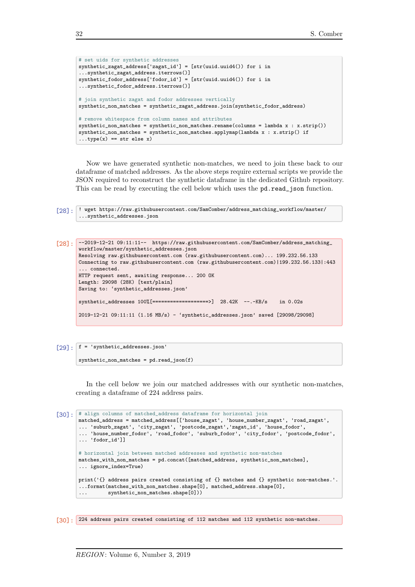```
# set uids for synthetic addresses
synthetic_zagat_address['zagat_id'] = [str(uuid.uuid4()) for i in
...synthetic_zagat_address.iterrows()]
synthetic_fodor_address['fodor_id'] = [str(uuid.uuid4()) for i in
...synthetic_fodor_address.iterrows()]
# join synthetic zagat and fodor addresses vertically
synthetic_non_matches = synthetic_zagat_address.join(synthetic_fodor_address)
# remove whitespace from column names and attributes
synthetic_non_matches = synthetic_non_matches.rename(columns = lambda x : x.strip())
synthetic_non_matches = synthetic_non_matches.applymap(lambda x : x.strip() if
...type(x) == str else x)
```
Now we have generated synthetic non-matches, we need to join these back to our dataframe of matched addresses. As the above steps require external scripts we provide the JSON required to reconstruct the synthetic dataframe in the dedicated Github repository. This can be read by executing the cell below which uses the pd.read\_json function.

```
[28]: ! wget https://raw.githubusercontent.com/SamComber/address_matching_workflow/master/
       ...synthetic_addresses.json
```

```
[28]: --2019-12-21 09:11:11-- https://raw.githubusercontent.com/SamComber/address_matching_
       workflow/master/synthetic_addresses.json
       Resolving raw.githubusercontent.com (raw.githubusercontent.com)... 199.232.56.133
       Connecting to raw.githubusercontent.com (raw.githubusercontent.com)|199.232.56.133|:443
        ... connected.
       HTTP request sent, awaiting response... 200 OK
       Length: 29098 (28K) [text/plain]
       Saving to: 'synthetic_addresses.json'
       synthetic_addresses 100% [=================>] 28.42K --.-KB/s in 0.02s
       2019-12-21 09:11:11 (1.16 MB/s) - 'synthetic_addresses.json' saved [29098/29098]
```
[29]:  $f = 'synthetic\_addresses.jspon'$ 

synthetic\_non\_matches = pd.read\_json(f)

In the cell below we join our matched addresses with our synthetic non-matches, creating a dataframe of 224 address pairs.

```
[30]: # align columns of matched_address dataframe for horizontal join
       matched_address = matched_address[['house_zagat', 'house_number_zagat', 'road_zagat',
       ... 'suburb_zagat', 'city_zagat', 'postcode_zagat','zagat_id', 'house_fodor',
       ... 'house_number_fodor', 'road_fodor', 'suburb_fodor', 'city_fodor', 'postcode_fodor',
       ... 'fodor_id']]
       # horizontal join between matched addresses and synthetic non-matches
       matches_with_non_matches = pd.concat([matched_address, synthetic_non_matches],
       ... ignore_index=True)
       print('{} address pairs created consisting of {} matches and {} synthetic non-matches.'.
       ...format(matches_with_non_matches.shape[0], matched_address.shape[0],
       ... synthetic_non_matches.shape[0]))
```

```
[30]: 224 address pairs created consisting of 112 matches and 112 synthetic non-matches.
```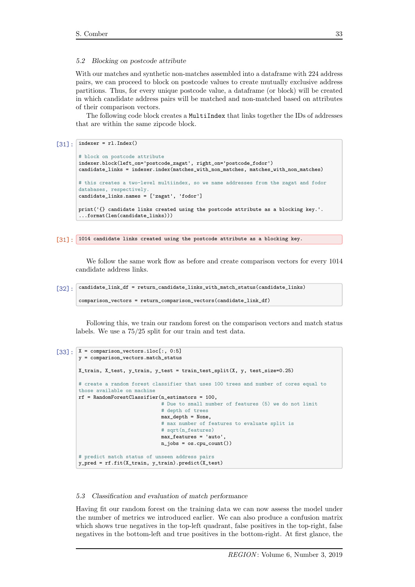#### 5.2 Blocking on postcode attribute

With our matches and synthetic non-matches assembled into a dataframe with 224 address pairs, we can proceed to block on postcode values to create mutually exclusive address partitions. Thus, for every unique postcode value, a dataframe (or block) will be created in which candidate address pairs will be matched and non-matched based on attributes of their comparison vectors.

The following code block creates a MultiIndex that links together the IDs of addresses that are within the same zipcode block.

# $[31]$ : indexer = rl.Index()

```
# block on postcode attribute
indexer.block(left_on='postcode_zagat', right_on='postcode_fodor')
candidate_links = indexer.index(matches_with_non_matches, matches_with_non_matches)
# this creates a two-level multiindex, so we name addresses from the zagat and fodor
databases, respectively.
candidate_links.names = ['zagat', 'fodor']
print('{} candidate links created using the postcode attribute as a blocking key.'.
...format(len(candidate_links)))
```
[31]: 1014 candidate links created using the postcode attribute as a blocking key.

We follow the same work flow as before and create comparison vectors for every 1014 candidate address links.

#### [32]: candidate\_link\_df = return\_candidate\_links\_with\_match\_status(candidate\_links)

```
comparison_vectors = return_comparison_vectors(candidate_link_df)
```
Following this, we train our random forest on the comparison vectors and match status labels. We use a 75/25 split for our train and test data.

```
[33]: X = \text{comparison\_vectors}.iloc[:, 0:5]y = comparison_vectors.match_status
       X_train, X_test, y_train, y_test = train_test_split(X, y, test_size=0.25)
       # create a random forest classifier that uses 100 trees and number of cores equal to
       those available on machine
       rf = RandomForestClassifier(n_estimators = 100,
                                    # Due to small number of features (5) we do not limit
                                    # depth of trees
                                    max_{def} = None,
                                    # max number of features to evaluate split is
                                    # sqrt(n_features)
                                    max_features = 'auto',
                                    n_jobs = os.cpu_count()# predict match status of unseen address pairs
       y_pred = rf.fit(X_train, y_train).predict(X_test)
```
#### 5.3 Classification and evaluation of match performance

Having fit our random forest on the training data we can now assess the model under the number of metrics we introduced earlier. We can also produce a confusion matrix which shows true negatives in the top-left quadrant, false positives in the top-right, false negatives in the bottom-left and true positives in the bottom-right. At first glance, the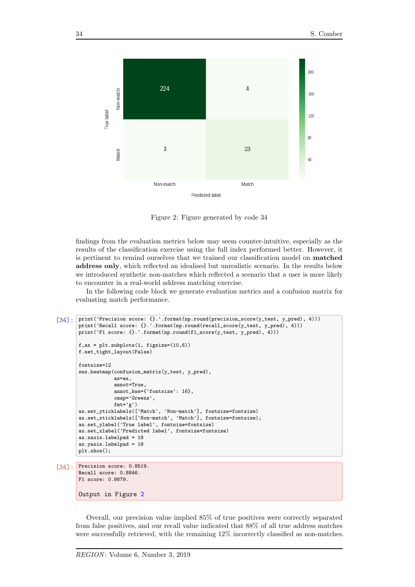<span id="page-17-0"></span>

Figure 2: Figure generated by code 34

findings from the evaluation metrics below may seem counter-intuitive, especially as the results of the classification exercise using the full index performed better. However, it is pertinent to remind ourselves that we trained our classification model on matched address only, which reflected an idealised but unrealistic scenario. In the results below we introduced synthetic non-matches which reflected a scenario that a user is more likely to encounter in a real-world address matching exercise.

In the following code block we generate evaluation metrics and a confusion matrix for evaluating match performance.

```
[34]: print('Precision score: {}.'.format(np.round(precision_score(y_test, y_pred), 4)))
       print('Recall score: {}.'.format(np.round(recall_score(y_test, y_pred), 4)))
       print('F1 score: {}.'.format(np.round(f1_score(y_test, y_pred), 4)))
       f,ax = plt.subplots(1, figsize=(10,6))
       f.set_tight_layout(False)
       fontsize=12
        sns.heatmap(confusion_matrix(y_test, y_pred),
                   ax=ax,
                   annot=True,
                   annot_kws={'fontsize': 16},
                   cmap='Greens',
                   fmt='g')ax.set_yticklabels(['Match', 'Non-match'], fontsize=fontsize)
        ax.set_xticklabels(['Non-match', 'Match'], fontsize=fontsize);
       ax.set_ylabel('True label', fontsize=fontsize)
       ax.set_xlabel('Predicted label', fontsize=fontsize)
       ax.xaxis.labelpad = 18
       ax.yaxis.labelpad = 18
       plt.show();
[34]: Precision score: 0.8519.
       Recall score: 0.8846.
```
Overall, our precision value implied 85% of true positives were correctly separated from false positives, and our recall value indicated that 88% of all true address matches were successfully retrieved, with the remaining 12% incorrectly classified as non-matches.

F1 score: 0.8679.

Output in Figure [2](#page-17-0)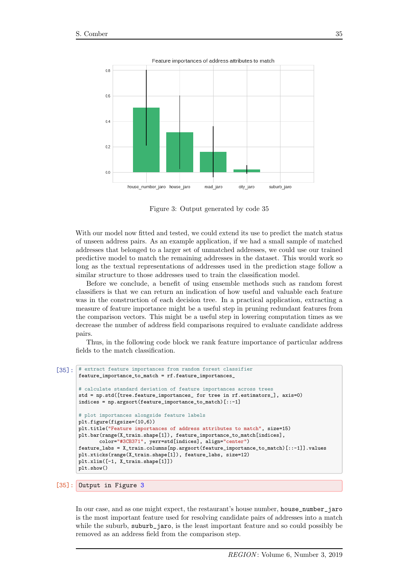<span id="page-18-0"></span>

Figure 3: Output generated by code 35

With our model now fitted and tested, we could extend its use to predict the match status of unseen address pairs. As an example application, if we had a small sample of matched addresses that belonged to a larger set of unmatched addresses, we could use our trained predictive model to match the remaining addresses in the dataset. This would work so long as the textual representations of addresses used in the prediction stage follow a similar structure to those addresses used to train the classification model.

Before we conclude, a benefit of using ensemble methods such as random forest classifiers is that we can return an indication of how useful and valuable each feature was in the construction of each decision tree. In a practical application, extracting a measure of feature importance might be a useful step in pruning redundant features from the comparison vectors. This might be a useful step in lowering computation times as we decrease the number of address field comparisons required to evaluate candidate address pairs.

Thus, in the following code block we rank feature importance of particular address fields to the match classification.

```
[35]: # extract feature importances from random forest classifier
       feature_importance_to_match = rf.feature_importances_
       # calculate standard deviation of feature importances across trees
       std = np.std([tree.feature_importances_ for tree in rf.estimators_], axis=0)
       indices = np.argsort(feature_importance_to_match)[::-1]
       # plot importances alongside feature labels
       plt.figure(figsize=(10,6))
       plt.title("Feature importances of address attributes to match", size=15)
       plt.bar(range(X_train.shape[1]), feature_importance_to_match[indices],
               color="#3CB371", yerr=std[indices], align="center")
       feature_labs = X_train.columns[np.argsort(feature_importance_to_match)[::-1]].values
       plt.xticks(range(X_train.shape[1]), feature_labs, size=12)
       plt.xlim([-1, X_train.shape[1]])
       plt.show()
```
# [35]: Output in Figure [3](#page-18-0)

In our case, and as one might expect, the restaurant's house number, house\_number\_jaro is the most important feature used for resolving candidate pairs of addresses into a match while the suburb, suburb<sub>r</sub> jaro, is the least important feature and so could possibly be removed as an address field from the comparison step.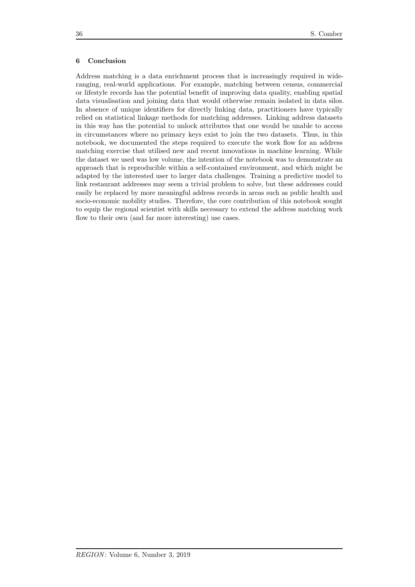### 6 Conclusion

Address matching is a data enrichment process that is increasingly required in wideranging, real-world applications. For example, matching between census, commercial or lifestyle records has the potential benefit of improving data quality, enabling spatial data visualisation and joining data that would otherwise remain isolated in data silos. In absence of unique identifiers for directly linking data, practitioners have typically relied on statistical linkage methods for matching addresses. Linking address datasets in this way has the potential to unlock attributes that one would be unable to access in circumstances where no primary keys exist to join the two datasets. Thus, in this notebook, we documented the steps required to execute the work flow for an address matching exercise that utilised new and recent innovations in machine learning. While the dataset we used was low volume, the intention of the notebook was to demonstrate an approach that is reproducible within a self-contained environment, and which might be adapted by the interested user to larger data challenges. Training a predictive model to link restaurant addresses may seem a trivial problem to solve, but these addresses could easily be replaced by more meaningful address records in areas such as public health and socio-economic mobility studies. Therefore, the core contribution of this notebook sought to equip the regional scientist with skills necessary to extend the address matching work flow to their own (and far more interesting) use cases.